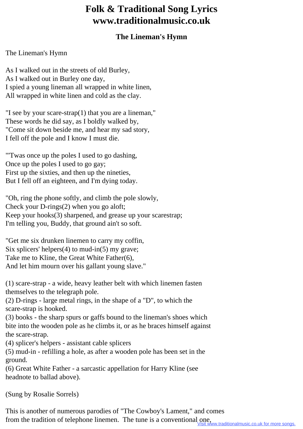## **Folk & Traditional Song Lyrics www.traditionalmusic.co.uk**

## **The Lineman's Hymn**

## The Lineman's Hymn

As I walked out in the streets of old Burley, As I walked out in Burley one day, I spied a young lineman all wrapped in white linen, All wrapped in white linen and cold as the clay.

"I see by your scare-strap(1) that you are a lineman," These words he did say, as I boldly walked by, "Come sit down beside me, and hear my sad story, I fell off the pole and I know I must die.

"'Twas once up the poles I used to go dashing, Once up the poles I used to go gay; First up the sixties, and then up the nineties, But I fell off an eighteen, and I'm dying today.

"Oh, ring the phone softly, and climb the pole slowly, Check your D-rings(2) when you go aloft; Keep your hooks(3) sharpened, and grease up your scarestrap; I'm telling you, Buddy, that ground ain't so soft.

"Get me six drunken linemen to carry my coffin, Six splicers' helpers $(4)$  to mud-in $(5)$  my grave; Take me to Kline, the Great White Father(6), And let him mourn over his gallant young slave."

(1) scare-strap - a wide, heavy leather belt with which linemen fasten themselves to the telegraph pole.

(2) D-rings - large metal rings, in the shape of a "D", to which the scare-strap is hooked.

(3) books - the sharp spurs or gaffs bound to the lineman's shoes which bite into the wooden pole as he climbs it, or as he braces himself against the scare-strap.

(4) splicer's helpers - assistant cable splicers

(5) mud-in - refilling a hole, as after a wooden pole has been set in the ground.

(6) Great White Father - a sarcastic appellation for Harry Kline (see headnote to ballad above).

(Sung by Rosalie Sorrels)

This is another of numerous parodies of "The Cowboy's Lament," and comes from the tradition of telephone linemen. The tune is a conventional one,<br>Visit www.traditionalmusic.co.uk for more songs.